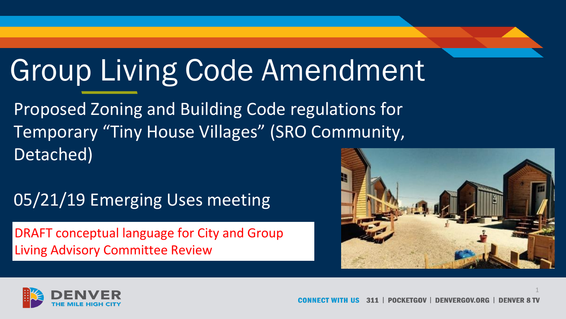# Group Living Code Amendment

Proposed Zoning and Building Code regulations for Temporary "Tiny House Villages" (SRO Community, Detached)

### 05/21/19 Emerging Uses meeting

DRAFT conceptual language for City and Group Living Advisory Committee Review



1

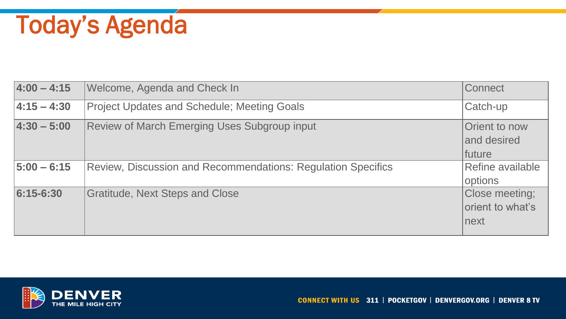# Today's Agenda

| $4:00 - 4:15$   | Welcome, Agenda and Check In                                 | Connect                                    |
|-----------------|--------------------------------------------------------------|--------------------------------------------|
| $ 4:15 - 4:30 $ | <b>Project Updates and Schedule; Meeting Goals</b>           | Catch-up                                   |
| $4:30 - 5:00$   | <b>Review of March Emerging Uses Subgroup input</b>          | Orient to now<br>and desired<br>future     |
| $ 5:00 - 6:15 $ | Review, Discussion and Recommendations: Regulation Specifics | Refine available<br>options                |
| 6:15-6:30       | <b>Gratitude, Next Steps and Close</b>                       | Close meeting;<br>orient to what's<br>next |

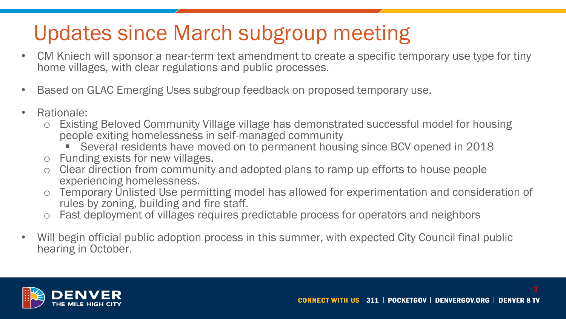## Updates since March subgroup meeting

- CM Kniech will sponsor a near-term text amendment to create a specific temporary use type for tiny home villages, with clear regulations and public processes.
- Based on GLAC Emerging Uses subgroup feedback on proposed temporary use.
- Rationale:
	- o Existing Beloved Community Village village has demonstrated successful model for housing people exiting homelessness in self-managed community
		- Several residents have moved on to permanent housing since BCV opened in 2018
	- o Funding exists for new villages.
	- Clear direction from community and adopted plans to ramp up efforts to house people experiencing homelessness.
	- o Temporary Unlisted Use permitting model has allowed for experimentation and consideration of rules by zoning, building and fire staff.
	- Fast deployment of villages requires predictable process for operators and neighbors
- Will begin official public adoption process in this summer, with expected City Council final public hearing in October.

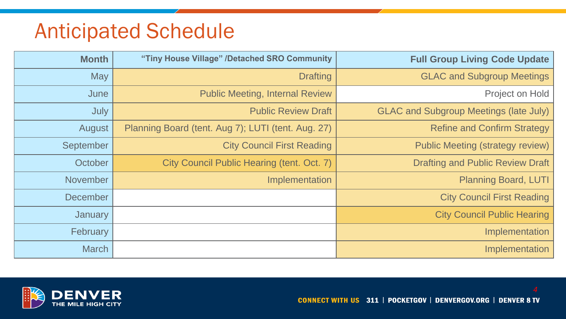### Anticipated Schedule

| <b>Month</b>    | "Tiny House Village" /Detached SRO Community       | <b>Full Group Living Code Update</b>          |
|-----------------|----------------------------------------------------|-----------------------------------------------|
| <b>May</b>      | <b>Drafting</b>                                    | <b>GLAC and Subgroup Meetings</b>             |
| June            | <b>Public Meeting, Internal Review</b>             | Project on Hold                               |
| July            | <b>Public Review Draft</b>                         | <b>GLAC and Subgroup Meetings (late July)</b> |
| August          | Planning Board (tent. Aug 7); LUTI (tent. Aug. 27) | <b>Refine and Confirm Strategy</b>            |
| September       | <b>City Council First Reading</b>                  | <b>Public Meeting (strategy review)</b>       |
| October         | City Council Public Hearing (tent. Oct. 7)         | <b>Drafting and Public Review Draft</b>       |
| November        | Implementation                                     | Planning Board, LUTI                          |
| <b>December</b> |                                                    | <b>City Council First Reading</b>             |
| January         |                                                    | <b>City Council Public Hearing</b>            |
| February        |                                                    | Implementation                                |
| <b>March</b>    |                                                    | Implementation                                |



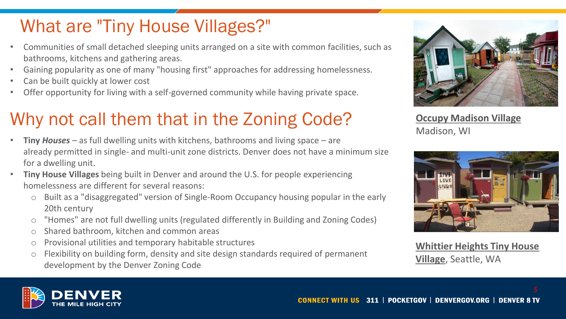### What are "Tiny House Villages?"

- Communities of small detached sleeping units arranged on a site with common facilities, such as bathrooms, kitchens and gathering areas.
- Gaining popularity as one of many "housing first" approaches for addressing homelessness.
- Can be built quickly at lower cost
- Offer opportunity for living with a self-governed community while having private space.

### Why not call them that in the Zoning Code?

- **Tiny** *Houses* as full dwelling units with kitchens, bathrooms and living space are already permitted in single- and multi-unit zone districts. Denver does not have a minimum size for a dwelling unit.
- **Tiny House Villages** being built in Denver and around the U.S. for people experiencing homelessness are different for several reasons:
	- Built as a "disaggregated" version of Single-Room Occupancy housing popular in the early 20th century
	- o "Homes" are not full dwelling units (regulated differently in Building and Zoning Codes)
	- o Shared bathroom, kitchen and common areas
	- o Provisional utilities and temporary habitable structures
	- o Flexibility on building form, density and site design standards required of permanent development by the Denver Zoning Code



**Occupy Madison Village** Madison, WI



**Whittier Heights Tiny House Village**, Seattle, WA

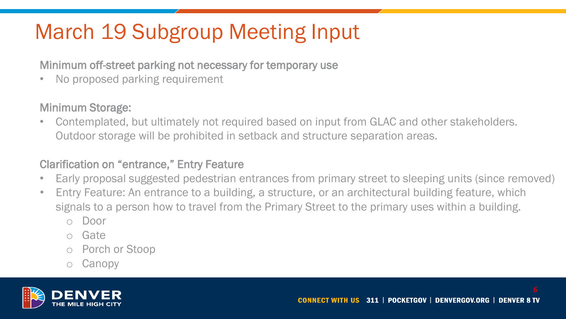# March 19 Subgroup Meeting Input

Minimum off-street parking not necessary for temporary use

• No proposed parking requirement

#### Minimum Storage:

• Contemplated, but ultimately not required based on input from GLAC and other stakeholders. Outdoor storage will be prohibited in setback and structure separation areas.

#### Clarification on "entrance," Entry Feature

- Early proposal suggested pedestrian entrances from primary street to sleeping units (since removed)
- Entry Feature: An entrance to a building, a structure, or an architectural building feature, which signals to a person how to travel from the Primary Street to the primary uses within a building.
	- Door
	- o Gate
	- o Porch or Stoop
	- Canopy

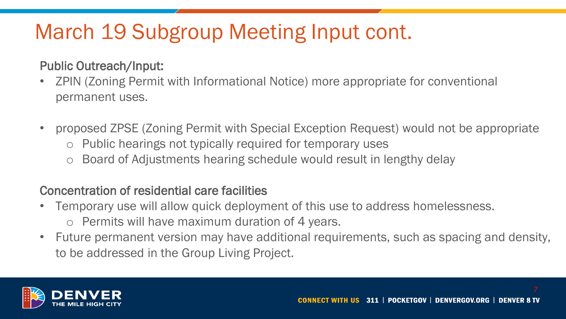# March 19 Subgroup Meeting Input cont.

#### Public Outreach/Input:

- ZPIN (Zoning Permit with Informational Notice) more appropriate for conventional permanent uses.
- proposed ZPSE (Zoning Permit with Special Exception Request) would not be appropriate
	- Public hearings not typically required for temporary uses
	- o Board of Adjustments hearing schedule would result in lengthy delay

#### Concentration of residential care facilities

- Temporary use will allow quick deployment of this use to address homelessness.
	- o Permits will have maximum duration of 4 years.
- Future permanent version may have additional requirements, such as spacing and density, to be addressed in the Group Living Project.

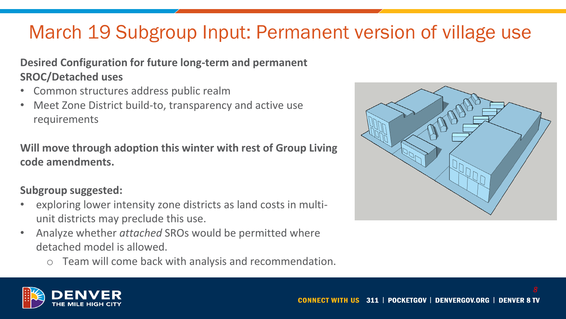### March 19 Subgroup Input: Permanent version of village use

#### **Desired Configuration for future long-term and permanent SROC/Detached uses**

- Common structures address public realm
- Meet Zone District build-to, transparency and active use requirements

#### **Will move through adoption this winter with rest of Group Living code amendments.**

#### **Subgroup suggested:**

- exploring lower intensity zone districts as land costs in multiunit districts may preclude this use.
- Analyze whether *attached* SROs would be permitted where detached model is allowed.
	- o Team will come back with analysis and recommendation.



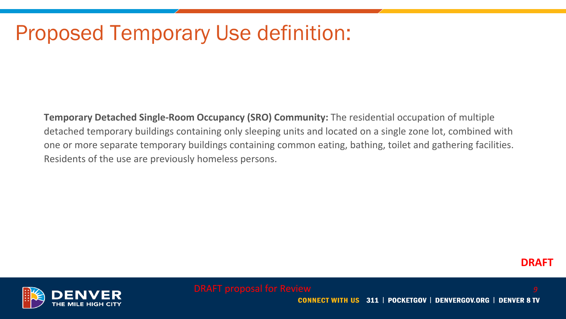### Proposed Temporary Use definition:

**Temporary Detached Single-Room Occupancy (SRO) Community:** The residential occupation of multiple detached temporary buildings containing only sleeping units and located on a single zone lot, combined with one or more separate temporary buildings containing common eating, bathing, toilet and gathering facilities. Residents of the use are previously homeless persons.



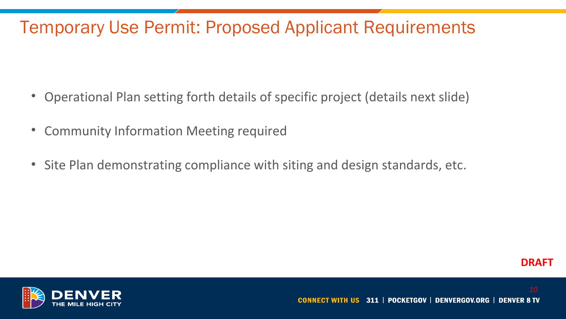### Temporary Use Permit: Proposed Applicant Requirements

- Operational Plan setting forth details of specific project (details next slide)
- Community Information Meeting required
- Site Plan demonstrating compliance with siting and design standards, etc.



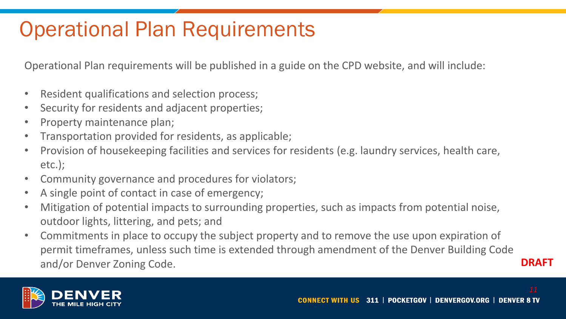# Operational Plan Requirements

Operational Plan requirements will be published in a guide on the CPD website, and will include:

- Resident qualifications and selection process;
- Security for residents and adjacent properties;
- Property maintenance plan;
- Transportation provided for residents, as applicable;
- Provision of housekeeping facilities and services for residents (e.g. laundry services, health care, etc.);
- Community governance and procedures for violators;
- A single point of contact in case of emergency;
- Mitigation of potential impacts to surrounding properties, such as impacts from potential noise, outdoor lights, littering, and pets; and
- Commitments in place to occupy the subject property and to remove the use upon expiration of permit timeframes, unless such time is extended through amendment of the Denver Building Code and/or Denver Zoning Code. **DRAFT**

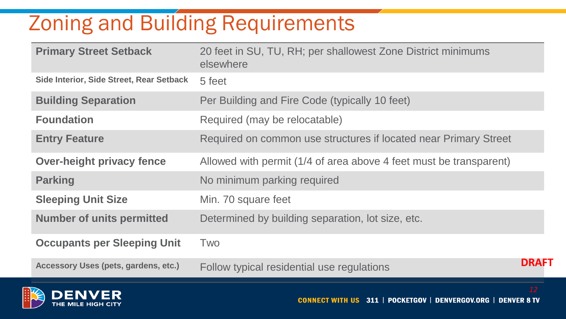# Zoning and Building Requirements

| <b>Primary Street Setback</b>            | 20 feet in SU, TU, RH; per shallowest Zone District minimums<br>elsewhere |              |
|------------------------------------------|---------------------------------------------------------------------------|--------------|
| Side Interior, Side Street, Rear Setback | 5 feet                                                                    |              |
| <b>Building Separation</b>               | Per Building and Fire Code (typically 10 feet)                            |              |
| <b>Foundation</b>                        | Required (may be relocatable)                                             |              |
| <b>Entry Feature</b>                     | Required on common use structures if located near Primary Street          |              |
| <b>Over-height privacy fence</b>         | Allowed with permit (1/4 of area above 4 feet must be transparent)        |              |
| <b>Parking</b>                           | No minimum parking required                                               |              |
| <b>Sleeping Unit Size</b>                | Min. 70 square feet                                                       |              |
| <b>Number of units permitted</b>         | Determined by building separation, lot size, etc.                         |              |
| <b>Occupants per Sleeping Unit</b>       | Two                                                                       |              |
| Accessory Uses (pets, gardens, etc.)     | Follow typical residential use regulations                                | <b>DRAFT</b> |

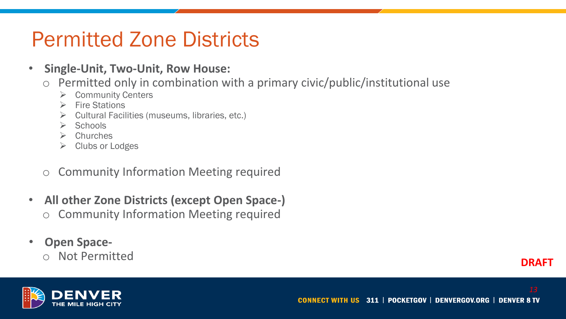### Permitted Zone Districts

- **Single-Unit, Two-Unit, Row House:**
	- o Permitted only in combination with a primary civic/public/institutional use
		- ➢ Community Centers
		- ➢ Fire Stations
		- ➢ Cultural Facilities (museums, libraries, etc.)
		- $\triangleright$  Schools
		- ➢ Churches
		- ➢ Clubs or Lodges
	- o Community Information Meeting required
- **All other Zone Districts (except Open Space-)** o Community Information Meeting required
- **Open Space**
	- o Not Permitted